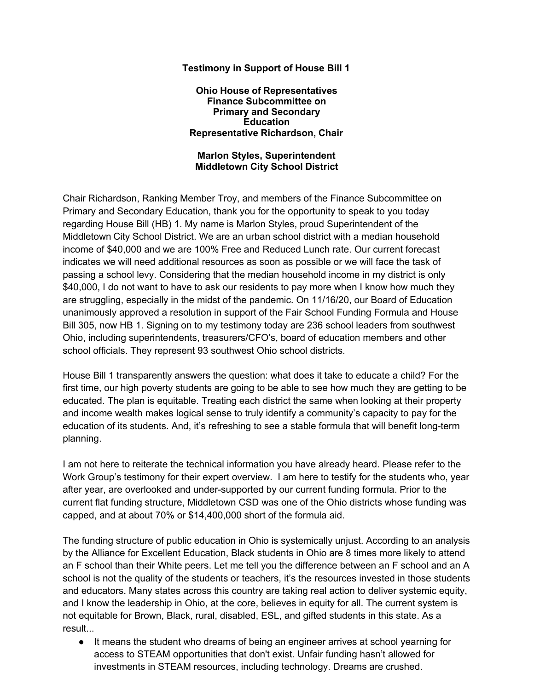## **Testimony in Support of House Bill 1**

**Ohio House of Representatives Finance Subcommittee on Primary and Secondary Education Representative Richardson, Chair**

## **Marlon Styles, Superintendent Middletown City School District**

Chair Richardson, Ranking Member Troy, and members of the Finance Subcommittee on Primary and Secondary Education, thank you for the opportunity to speak to you today regarding House Bill (HB) 1. My name is Marlon Styles, proud Superintendent of the Middletown City School District. We are an urban school district with a median household income of \$40,000 and we are 100% Free and Reduced Lunch rate. Our current forecast indicates we will need additional resources as soon as possible or we will face the task of passing a school levy. Considering that the median household income in my district is only \$40,000, I do not want to have to ask our residents to pay more when I know how much they are struggling, especially in the midst of the pandemic. On 11/16/20, our Board of Education unanimously approved a resolution in support of the Fair School Funding Formula and House Bill 305, now HB 1. Signing on to my testimony today are 236 school leaders from southwest Ohio, including superintendents, treasurers/CFO's, board of education members and other school officials. They represent 93 southwest Ohio school districts.

House Bill 1 transparently answers the question: what does it take to educate a child? For the first time, our high poverty students are going to be able to see how much they are getting to be educated. The plan is equitable. Treating each district the same when looking at their property and income wealth makes logical sense to truly identify a community's capacity to pay for the education of its students. And, it's refreshing to see a stable formula that will benefit long-term planning.

I am not here to reiterate the technical information you have already heard. Please refer to the Work Group's testimony for their expert overview. I am here to testify for the students who, year after year, are overlooked and under-supported by our current funding formula. Prior to the current flat funding structure, Middletown CSD was one of the Ohio districts whose funding was capped, and at about 70% or \$14,400,000 short of the formula aid.

The funding structure of public education in Ohio is systemically unjust. According to an analysis by the Alliance for Excellent Education, Black students in Ohio are 8 times more likely to attend an F school than their White peers. Let me tell you the difference between an F school and an A school is not the quality of the students or teachers, it's the resources invested in those students and educators. Many states across this country are taking real action to deliver systemic equity, and I know the leadership in Ohio, at the core, believes in equity for all. The current system is not equitable for Brown, Black, rural, disabled, ESL, and gifted students in this state. As a result...

● It means the student who dreams of being an engineer arrives at school yearning for access to STEAM opportunities that don't exist. Unfair funding hasn't allowed for investments in STEAM resources, including technology. Dreams are crushed.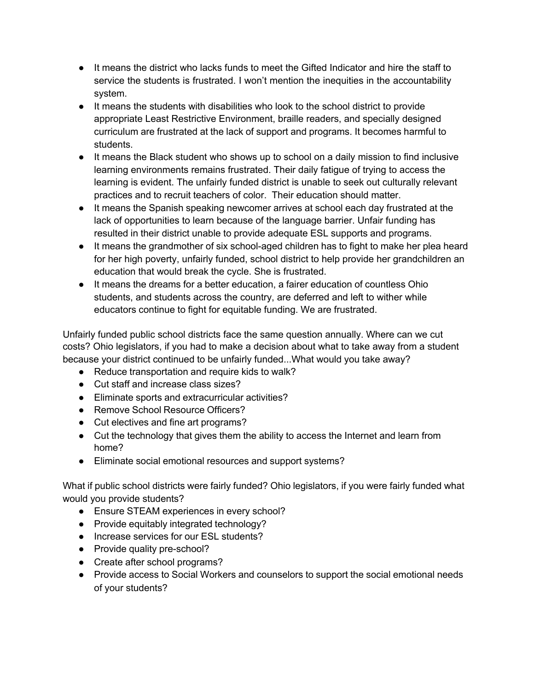- It means the district who lacks funds to meet the Gifted Indicator and hire the staff to service the students is frustrated. I won't mention the inequities in the accountability system.
- It means the students with disabilities who look to the school district to provide appropriate Least Restrictive Environment, braille readers, and specially designed curriculum are frustrated at the lack of support and programs. It becomes harmful to students.
- It means the Black student who shows up to school on a daily mission to find inclusive learning environments remains frustrated. Their daily fatigue of trying to access the learning is evident. The unfairly funded district is unable to seek out culturally relevant practices and to recruit teachers of color. Their education should matter.
- It means the Spanish speaking newcomer arrives at school each day frustrated at the lack of opportunities to learn because of the language barrier. Unfair funding has resulted in their district unable to provide adequate ESL supports and programs.
- It means the grandmother of six school-aged children has to fight to make her plea heard for her high poverty, unfairly funded, school district to help provide her grandchildren an education that would break the cycle. She is frustrated.
- It means the dreams for a better education, a fairer education of countless Ohio students, and students across the country, are deferred and left to wither while educators continue to fight for equitable funding. We are frustrated.

Unfairly funded public school districts face the same question annually. Where can we cut costs? Ohio legislators, if you had to make a decision about what to take away from a student because your district continued to be unfairly funded...What would you take away?

- Reduce transportation and require kids to walk?
- Cut staff and increase class sizes?
- Eliminate sports and extracurricular activities?
- Remove School Resource Officers?
- Cut electives and fine art programs?
- Cut the technology that gives them the ability to access the Internet and learn from home?
- Eliminate social emotional resources and support systems?

What if public school districts were fairly funded? Ohio legislators, if you were fairly funded what would you provide students?

- Ensure STEAM experiences in every school?
- Provide equitably integrated technology?
- Increase services for our ESL students?
- Provide quality pre-school?
- Create after school programs?
- Provide access to Social Workers and counselors to support the social emotional needs of your students?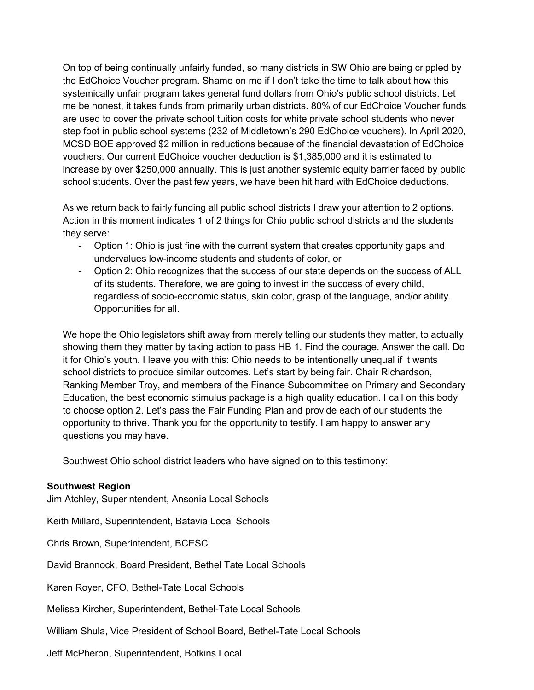On top of being continually unfairly funded, so many districts in SW Ohio are being crippled by the EdChoice Voucher program. Shame on me if I don't take the time to talk about how this systemically unfair program takes general fund dollars from Ohio's public school districts. Let me be honest, it takes funds from primarily urban districts. 80% of our EdChoice Voucher funds are used to cover the private school tuition costs for white private school students who never step foot in public school systems (232 of Middletown's 290 EdChoice vouchers). In April 2020, MCSD BOE approved \$2 million in reductions because of the financial devastation of EdChoice vouchers. Our current EdChoice voucher deduction is \$1,385,000 and it is estimated to increase by over \$250,000 annually. This is just another systemic equity barrier faced by public school students. Over the past few years, we have been hit hard with EdChoice deductions.

As we return back to fairly funding all public school districts I draw your attention to 2 options. Action in this moment indicates 1 of 2 things for Ohio public school districts and the students they serve:

- Option 1: Ohio is just fine with the current system that creates opportunity gaps and undervalues low-income students and students of color, or
- Option 2: Ohio recognizes that the success of our state depends on the success of ALL of its students. Therefore, we are going to invest in the success of every child, regardless of socio-economic status, skin color, grasp of the language, and/or ability. Opportunities for all.

We hope the Ohio legislators shift away from merely telling our students they matter, to actually showing them they matter by taking action to pass HB 1. Find the courage. Answer the call. Do it for Ohio's youth. I leave you with this: Ohio needs to be intentionally unequal if it wants school districts to produce similar outcomes. Let's start by being fair. Chair Richardson, Ranking Member Troy, and members of the Finance Subcommittee on Primary and Secondary Education, the best economic stimulus package is a high quality education. I call on this body to choose option 2. Let's pass the Fair Funding Plan and provide each of our students the opportunity to thrive. Thank you for the opportunity to testify. I am happy to answer any questions you may have.

Southwest Ohio school district leaders who have signed on to this testimony:

## **Southwest Region**

Jim Atchley, Superintendent, Ansonia Local Schools

Keith Millard, Superintendent, Batavia Local Schools

Chris Brown, Superintendent, BCESC

David Brannock, Board President, Bethel Tate Local Schools

Karen Royer, CFO, Bethel-Tate Local Schools

Melissa Kircher, Superintendent, Bethel-Tate Local Schools

William Shula, Vice President of School Board, Bethel-Tate Local Schools

Jeff McPheron, Superintendent, Botkins Local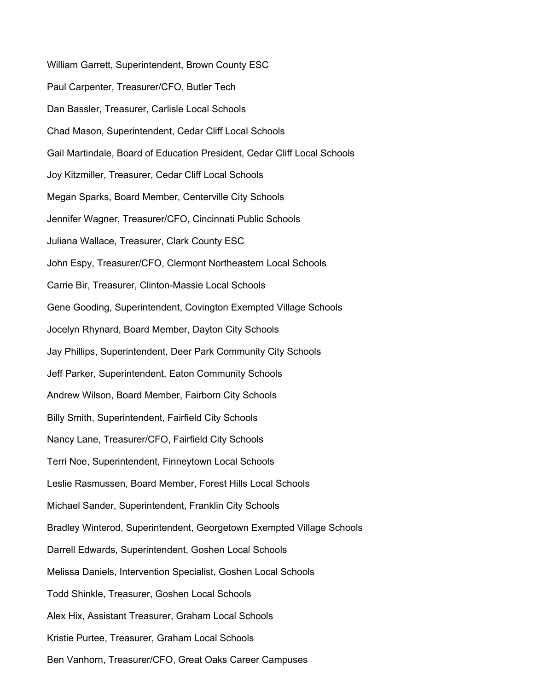William Garrett, Superintendent, Brown County ESC Paul Carpenter, Treasurer/CFO, Butler Tech Dan Bassler, Treasurer, Carlisle Local Schools Chad Mason, Superintendent, Cedar Cliff Local Schools Gail Martindale, Board of Education President, Cedar Cliff Local Schools Joy Kitzmiller, Treasurer, Cedar Cliff Local Schools Megan Sparks, Board Member, Centerville City Schools Jennifer Wagner, Treasurer/CFO, Cincinnati Public Schools Juliana Wallace, Treasurer, Clark County ESC John Espy, Treasurer/CFO, Clermont Northeastern Local Schools Carrie Bir, Treasurer, Clinton-Massie Local Schools Gene Gooding, Superintendent, Covington Exempted Village Schools Jocelyn Rhynard, Board Member, Dayton City Schools Jay Phillips, Superintendent, Deer Park Community City Schools Jeff Parker, Superintendent, Eaton Community Schools Andrew Wilson, Board Member, Fairborn City Schools Billy Smith, Superintendent, Fairfield City Schools Nancy Lane, Treasurer/CFO, Fairfield City Schools Terri Noe, Superintendent, Finneytown Local Schools Leslie Rasmussen, Board Member, Forest Hills Local Schools Michael Sander, Superintendent, Franklin City Schools Bradley Winterod, Superintendent, Georgetown Exempted Village Schools Darrell Edwards, Superintendent, Goshen Local Schools Melissa Daniels, Intervention Specialist, Goshen Local Schools Todd Shinkle, Treasurer, Goshen Local Schools Alex Hix, Assistant Treasurer, Graham Local Schools Kristie Purtee, Treasurer, Graham Local Schools

Ben Vanhorn, Treasurer/CFO, Great Oaks Career Campuses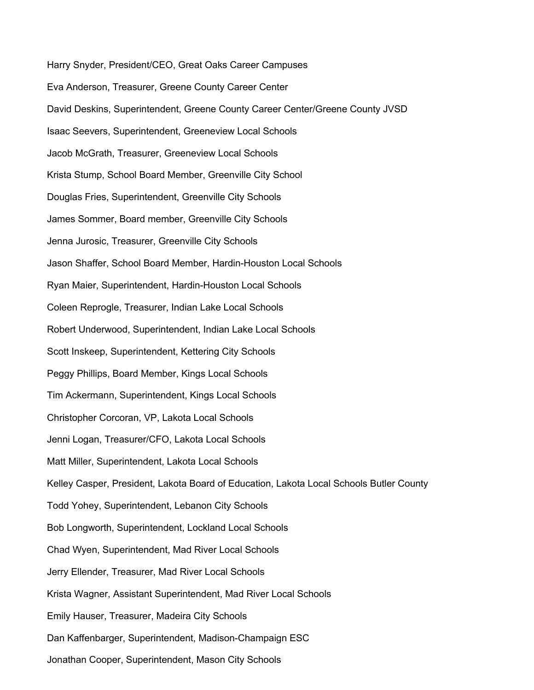Harry Snyder, President/CEO, Great Oaks Career Campuses Eva Anderson, Treasurer, Greene County Career Center David Deskins, Superintendent, Greene County Career Center/Greene County JVSD Isaac Seevers, Superintendent, Greeneview Local Schools Jacob McGrath, Treasurer, Greeneview Local Schools Krista Stump, School Board Member, Greenville City School Douglas Fries, Superintendent, Greenville City Schools James Sommer, Board member, Greenville City Schools Jenna Jurosic, Treasurer, Greenville City Schools Jason Shaffer, School Board Member, Hardin-Houston Local Schools Ryan Maier, Superintendent, Hardin-Houston Local Schools Coleen Reprogle, Treasurer, Indian Lake Local Schools Robert Underwood, Superintendent, Indian Lake Local Schools Scott Inskeep, Superintendent, Kettering City Schools Peggy Phillips, Board Member, Kings Local Schools Tim Ackermann, Superintendent, Kings Local Schools Christopher Corcoran, VP, Lakota Local Schools Jenni Logan, Treasurer/CFO, Lakota Local Schools Matt Miller, Superintendent, Lakota Local Schools Kelley Casper, President, Lakota Board of Education, Lakota Local Schools Butler County Todd Yohey, Superintendent, Lebanon City Schools Bob Longworth, Superintendent, Lockland Local Schools Chad Wyen, Superintendent, Mad River Local Schools Jerry Ellender, Treasurer, Mad River Local Schools Krista Wagner, Assistant Superintendent, Mad River Local Schools Emily Hauser, Treasurer, Madeira City Schools Dan Kaffenbarger, Superintendent, Madison-Champaign ESC Jonathan Cooper, Superintendent, Mason City Schools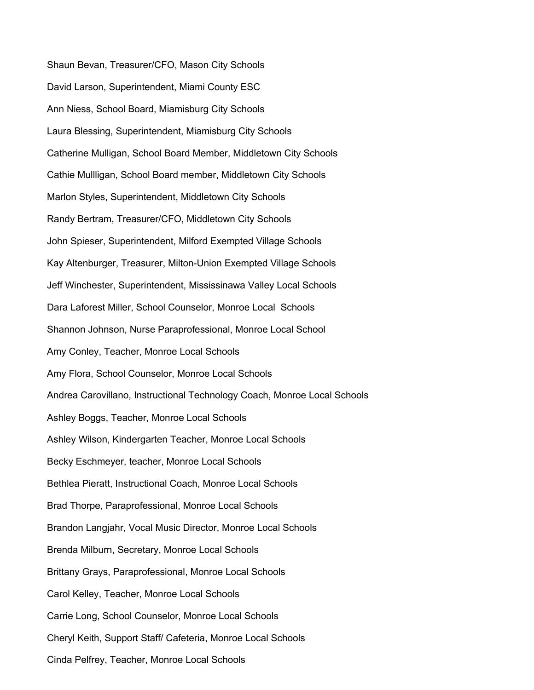Shaun Bevan, Treasurer/CFO, Mason City Schools David Larson, Superintendent, Miami County ESC Ann Niess, School Board, Miamisburg City Schools Laura Blessing, Superintendent, Miamisburg City Schools Catherine Mulligan, School Board Member, Middletown City Schools Cathie Mullligan, School Board member, Middletown City Schools Marlon Styles, Superintendent, Middletown City Schools Randy Bertram, Treasurer/CFO, Middletown City Schools John Spieser, Superintendent, Milford Exempted Village Schools Kay Altenburger, Treasurer, Milton-Union Exempted Village Schools Jeff Winchester, Superintendent, Mississinawa Valley Local Schools Dara Laforest Miller, School Counselor, Monroe Local Schools Shannon Johnson, Nurse Paraprofessional, Monroe Local School Amy Conley, Teacher, Monroe Local Schools Amy Flora, School Counselor, Monroe Local Schools Andrea Carovillano, Instructional Technology Coach, Monroe Local Schools Ashley Boggs, Teacher, Monroe Local Schools Ashley Wilson, Kindergarten Teacher, Monroe Local Schools Becky Eschmeyer, teacher, Monroe Local Schools Bethlea Pieratt, Instructional Coach, Monroe Local Schools Brad Thorpe, Paraprofessional, Monroe Local Schools Brandon Langjahr, Vocal Music Director, Monroe Local Schools Brenda Milburn, Secretary, Monroe Local Schools Brittany Grays, Paraprofessional, Monroe Local Schools Carol Kelley, Teacher, Monroe Local Schools Carrie Long, School Counselor, Monroe Local Schools Cheryl Keith, Support Staff/ Cafeteria, Monroe Local Schools Cinda Pelfrey, Teacher, Monroe Local Schools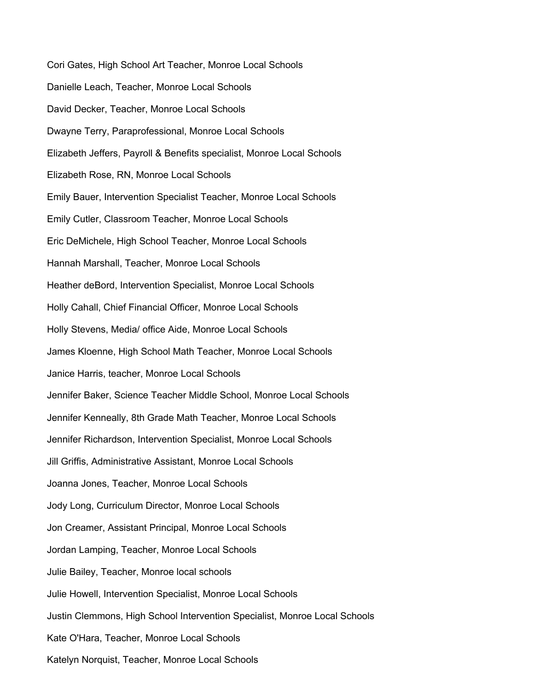Cori Gates, High School Art Teacher, Monroe Local Schools Danielle Leach, Teacher, Monroe Local Schools David Decker, Teacher, Monroe Local Schools Dwayne Terry, Paraprofessional, Monroe Local Schools Elizabeth Jeffers, Payroll & Benefits specialist, Monroe Local Schools Elizabeth Rose, RN, Monroe Local Schools Emily Bauer, Intervention Specialist Teacher, Monroe Local Schools Emily Cutler, Classroom Teacher, Monroe Local Schools Eric DeMichele, High School Teacher, Monroe Local Schools Hannah Marshall, Teacher, Monroe Local Schools Heather deBord, Intervention Specialist, Monroe Local Schools Holly Cahall, Chief Financial Officer, Monroe Local Schools Holly Stevens, Media/ office Aide, Monroe Local Schools James Kloenne, High School Math Teacher, Monroe Local Schools Janice Harris, teacher, Monroe Local Schools Jennifer Baker, Science Teacher Middle School, Monroe Local Schools Jennifer Kenneally, 8th Grade Math Teacher, Monroe Local Schools Jennifer Richardson, Intervention Specialist, Monroe Local Schools Jill Griffis, Administrative Assistant, Monroe Local Schools Joanna Jones, Teacher, Monroe Local Schools Jody Long, Curriculum Director, Monroe Local Schools Jon Creamer, Assistant Principal, Monroe Local Schools Jordan Lamping, Teacher, Monroe Local Schools Julie Bailey, Teacher, Monroe local schools Julie Howell, Intervention Specialist, Monroe Local Schools Justin Clemmons, High School Intervention Specialist, Monroe Local Schools Kate O'Hara, Teacher, Monroe Local Schools Katelyn Norquist, Teacher, Monroe Local Schools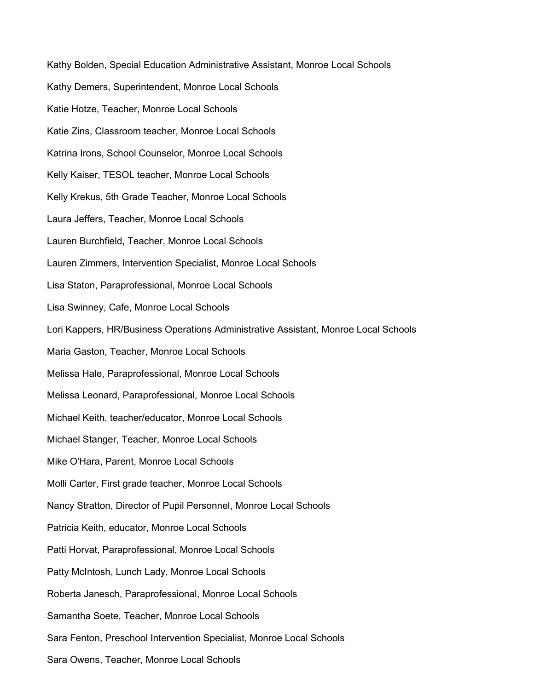Kathy Bolden, Special Education Administrative Assistant, Monroe Local Schools Kathy Demers, Superintendent, Monroe Local Schools Katie Hotze, Teacher, Monroe Local Schools Katie Zins, Classroom teacher, Monroe Local Schools Katrina Irons, School Counselor, Monroe Local Schools Kelly Kaiser, TESOL teacher, Monroe Local Schools Kelly Krekus, 5th Grade Teacher, Monroe Local Schools Laura Jeffers, Teacher, Monroe Local Schools Lauren Burchfield, Teacher, Monroe Local Schools Lauren Zimmers, Intervention Specialist, Monroe Local Schools Lisa Staton, Paraprofessional, Monroe Local Schools Lisa Swinney, Cafe, Monroe Local Schools Lori Kappers, HR/Business Operations Administrative Assistant, Monroe Local Schools Maria Gaston, Teacher, Monroe Local Schools Melissa Hale, Paraprofessional, Monroe Local Schools Melissa Leonard, Paraprofessional, Monroe Local Schools Michael Keith, teacher/educator, Monroe Local Schools Michael Stanger, Teacher, Monroe Local Schools Mike O'Hara, Parent, Monroe Local Schools Molli Carter, First grade teacher, Monroe Local Schools Nancy Stratton, Director of Pupil Personnel, Monroe Local Schools Patricia Keith, educator, Monroe Local Schools Patti Horvat, Paraprofessional, Monroe Local Schools Patty McIntosh, Lunch Lady, Monroe Local Schools Roberta Janesch, Paraprofessional, Monroe Local Schools Samantha Soete, Teacher, Monroe Local Schools Sara Fenton, Preschool Intervention Specialist, Monroe Local Schools

Sara Owens, Teacher, Monroe Local Schools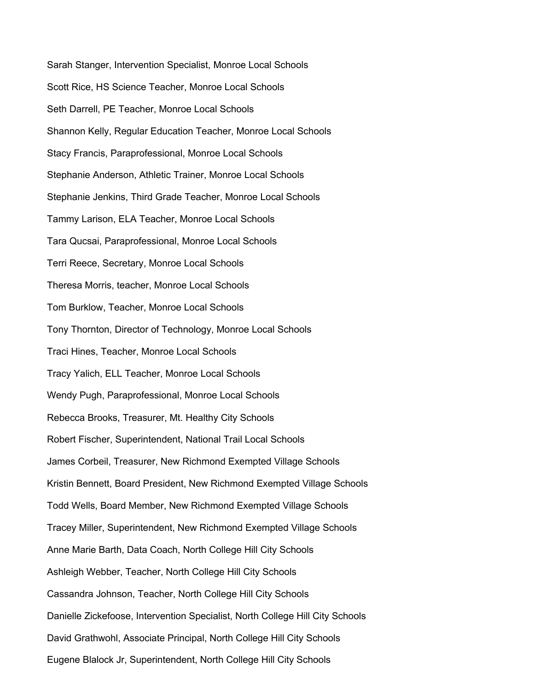Sarah Stanger, Intervention Specialist, Monroe Local Schools Scott Rice, HS Science Teacher, Monroe Local Schools Seth Darrell, PE Teacher, Monroe Local Schools Shannon Kelly, Regular Education Teacher, Monroe Local Schools Stacy Francis, Paraprofessional, Monroe Local Schools Stephanie Anderson, Athletic Trainer, Monroe Local Schools Stephanie Jenkins, Third Grade Teacher, Monroe Local Schools Tammy Larison, ELA Teacher, Monroe Local Schools Tara Qucsai, Paraprofessional, Monroe Local Schools Terri Reece, Secretary, Monroe Local Schools Theresa Morris, teacher, Monroe Local Schools Tom Burklow, Teacher, Monroe Local Schools Tony Thornton, Director of Technology, Monroe Local Schools Traci Hines, Teacher, Monroe Local Schools Tracy Yalich, ELL Teacher, Monroe Local Schools Wendy Pugh, Paraprofessional, Monroe Local Schools Rebecca Brooks, Treasurer, Mt. Healthy City Schools Robert Fischer, Superintendent, National Trail Local Schools James Corbeil, Treasurer, New Richmond Exempted Village Schools Kristin Bennett, Board President, New Richmond Exempted Village Schools Todd Wells, Board Member, New Richmond Exempted Village Schools Tracey Miller, Superintendent, New Richmond Exempted Village Schools Anne Marie Barth, Data Coach, North College Hill City Schools Ashleigh Webber, Teacher, North College Hill City Schools Cassandra Johnson, Teacher, North College Hill City Schools Danielle Zickefoose, Intervention Specialist, North College Hill City Schools David Grathwohl, Associate Principal, North College Hill City Schools Eugene Blalock Jr, Superintendent, North College Hill City Schools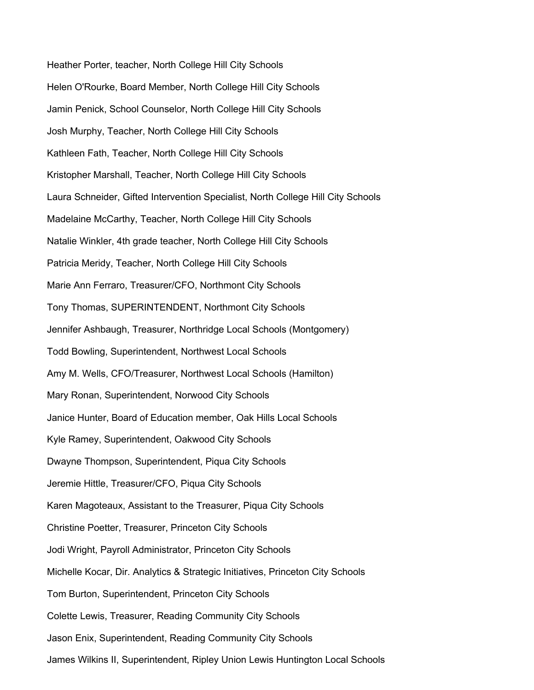Heather Porter, teacher, North College Hill City Schools Helen O'Rourke, Board Member, North College Hill City Schools Jamin Penick, School Counselor, North College Hill City Schools Josh Murphy, Teacher, North College Hill City Schools Kathleen Fath, Teacher, North College Hill City Schools Kristopher Marshall, Teacher, North College Hill City Schools Laura Schneider, Gifted Intervention Specialist, North College Hill City Schools Madelaine McCarthy, Teacher, North College Hill City Schools Natalie Winkler, 4th grade teacher, North College Hill City Schools Patricia Meridy, Teacher, North College Hill City Schools Marie Ann Ferraro, Treasurer/CFO, Northmont City Schools Tony Thomas, SUPERINTENDENT, Northmont City Schools Jennifer Ashbaugh, Treasurer, Northridge Local Schools (Montgomery) Todd Bowling, Superintendent, Northwest Local Schools Amy M. Wells, CFO/Treasurer, Northwest Local Schools (Hamilton) Mary Ronan, Superintendent, Norwood City Schools Janice Hunter, Board of Education member, Oak Hills Local Schools Kyle Ramey, Superintendent, Oakwood City Schools Dwayne Thompson, Superintendent, Piqua City Schools Jeremie Hittle, Treasurer/CFO, Piqua City Schools Karen Magoteaux, Assistant to the Treasurer, Piqua City Schools Christine Poetter, Treasurer, Princeton City Schools Jodi Wright, Payroll Administrator, Princeton City Schools Michelle Kocar, Dir. Analytics & Strategic Initiatives, Princeton City Schools Tom Burton, Superintendent, Princeton City Schools Colette Lewis, Treasurer, Reading Community City Schools Jason Enix, Superintendent, Reading Community City Schools

James Wilkins II, Superintendent, Ripley Union Lewis Huntington Local Schools